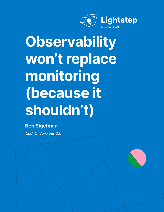

# **Observability won't replace monitoring (because it shouldn't)**

*CEO & Co-Founder* **Ben Sigelman**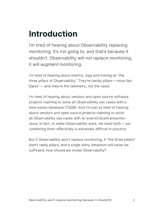### **Introduction**

I'm tired of hearing about Observability replacing monitoring. It's not going to, and that's because it shouldn't. Observability will not *replace* monitoring, it will *augment* monitoring.

I'm tired of hearing about metrics, logs and tracing as "the three pillars of Observability." They're hardly pillars—more like "pipes"— and they're the telemetry, not the value.

I'm tired of hearing about vendors and open source software projects claiming to solve all Observability use cases with a time-series database (TSDB). And I'm just as tired of hearing about vendors and open source projects claiming to solve all Observability use cases with an event/trace/transaction store. In fact, to make Observability work, we need both—yet combining them effectively is extremely difficult in practice.

But if Observability won't replace monitoring, if "the three pillars" aren't really pillars, and a single shiny datastore will never be sufficient, how should we model Observability?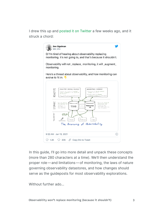I drew this up and [posted it on Twitter](https://twitter.com/el_bhs/status/1349406398388400128?utm_source=thenewstack&utm_medium=website&utm_campaign=platform) a few weeks ago, and it struck a chord:



In this guide, I'll go into more detail and unpack these concepts (more than 280 characters at a time). We'll then understand the proper role—and limitations—of monitoring, the laws of nature governing observability datastores, and how changes should serve as the guideposts for most observability explorations.

Without further ado…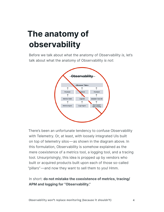## **The anatomy of observability**

Before we talk about what the anatomy of Observability *is*, let's talk about what the anatomy of Observability *is not*:



There's been an unfortunate tendency to confuse Observability with Telemetry. Or, at least, with loosely integrated UIs built on top of telemetry silos—as shown in the diagram above. In this formulation, Observability is somehow explained as the mere coexistence of a metrics tool, a logging tool, and a tracing tool. Unsurprisingly, this idea is propped up by vendors who built or acquired products built upon each of those so-called "pillars"—and now they want to sell them to you! Hmm.

#### In short: **do not mistake the coexistence of metrics, tracing/ APM and logging for "Observability."**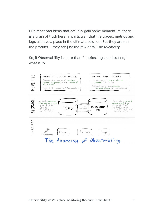Like most bad ideas that actually gain some momentum, there is a grain of truth here: in particular, that the traces, metrics and logs all have a place in the ultimate solution. But they are not the product—they are just the raw data. The *telemetry*.

So, if Observability is more than "metrics, logs, and traces," what is it?

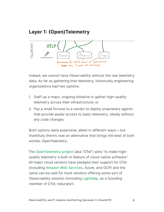### **Layer 1: (Open)Telemetry**



Indeed, we cannot have Observability without the raw telemetry data. As far as gathering that telemetry, historically engineering organizations had two options:

- 1. Staff up a major, ongoing initiative to gather high-quality telemetry across their infrastructure; or
- 2. Pay a small fortune to a vendor to deploy proprietary agents that provide easier access to basic telemetry, ideally without any code changes.

Both options were expensive, albeit in different ways—but thankfully there's now an alternative that brings the best of both worlds: OpenTelemetry.

The [OpenTelemetry project](https://opentelemetry.io/) (aka "OTel") aims "to make highquality telemetry a built-in feature of cloud-native software." All major cloud vendors have pledged their support for OTel (including [Amazon Web Services,](https://storageos.com/?utm_content=inline-mention) Azure, and GCP) and the same can be said for most vendors offering some sort of Observability solution (including [Lightstep](https://lightstep.com/?utm_content=inline-mention), as a founding member of OTel, naturally!).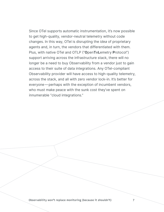Since OTel supports automatic instrumentation, it's now possible to get high-quality, vendor-neutral telemetry without code changes. In this way, OTel is disrupting the *idea* of proprietary agents and, in turn, the vendors that differentiated with them. Plus, with native OTel and OTLP ("**O**pen**T**e**L**emetry **P**rotocol") support arriving across the infrastructure stack, there will no longer be a need to buy Observability from a vendor just to gain access to their suite of data integrations. Any OTel-compliant Observability provider will have access to high-quality telemetry, across the stack, and all with zero vendor lock-in. It's better for everyone—perhaps with the exception of incumbent vendors, who must make peace with the sunk cost they've spent on innumerable "cloud integrations."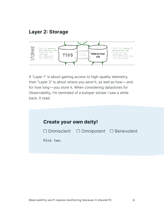#### **Layer 2: Storage**



If "Layer 1" is about gaining access to high-quality telemetry, then "Layer 2" is about where you *send* it, as well as how—and for how long—you *store* it. When considering datastores for Observability, I'm reminded of a bumper sticker I saw a while back. It read:

| Create your own deity!                                |
|-------------------------------------------------------|
| $\Box$ Omniscient $\Box$ Omnipotent $\Box$ Benevolent |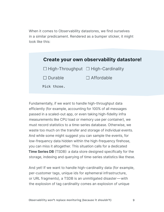When it comes to Observability datastores, we find ourselves in a similar predicament. Rendered as a bumper sticker, it might look like this:

| Create your own observability datastore!       |                   |
|------------------------------------------------|-------------------|
| $\Box$ High-Throughput $\Box$ High-Cardinality |                   |
| $\Box$ Durable                                 | $\Box$ Affordable |
| Pick three.                                    |                   |

Fundamentally, if we want to handle high-throughput data efficiently (for example, accounting for 100% of all messages passed in a scaled-out app, or even taking high-fidelity infra measurements like CPU load or memory use per container), we must record statistics to a time-series database. Otherwise, we waste too much on the transfer and storage of individual events. And while some might suggest you can sample the events, for low-frequency data hidden within the high-frequency firehose, you can miss it altogether. This situation calls for a dedicated **Time Series DB** (TSDB): a data store designed specifically for the storage, indexing and querying of time-series statistics like these.

And yet! If we want to handle high-cardinality data (for example, per-customer tags, unique ids for ephemeral infrastructure, or URL fragments), a TSDB is an unmitigated disaster—with the explosion of tag cardinality comes an explosion of unique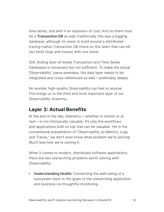time series, and with it an explosion of cost. And so there must be a **Transaction DB** as well; traditionally this was a logging database, although it's wiser to build around a distributedtracing-native Transaction DB (more on this later) that can kill two birds (logs and traces) with one stone.

Still, finding best-of-breed Transaction and Time Series Databases is necessary but not sufficient. To make the actual "Observability" piece seamless, the data layer needs to be integrated and cross-referenced as well—preferably deeply.

No wonder high-quality Observability can feel so elusive. This brings us to the third and most important layer of our Observability Anatomy…

#### **Layer 3: Actual Benefits**

At the end of the day, telemetry—whether in motion or at rest—is not intrinsically valuable. It's only the workflows and applications built on top that can be valuable. Yet in the conventional presentation of "Observability as Metrics, Logs and Traces," we don't even know what problem we're solving! Much less how we're solving it.

When it comes to modern, distributed software applications, there are two overarching problems worth solving with Observability:

**• Understanding Health:** Connecting the well-being of a subsystem back to the goals of the overarching application and business via thoughtful monitoring.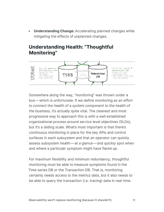**• Understanding Change:** Accelerating planned changes while mitigating the effects of unplanned changes.

#### **Understanding Health: "Thoughtful Monitoring"**



Somewhere along the way, "monitoring" was thrown under a bus—which is unfortunate. If we define monitoring *as an effort to connect the health of a system component to the health of the business*, it's actually quite vital. The cleanest and most progressive way to approach this is with a well established organizational process around service level objectives (SLOs), but it's a sliding scale. What's most important is that there's continuous monitoring in place for the key APIs and control surfaces in each subsystem and that an operator can quickly assess subsystem health—at a glance—and quickly spot when and where a particular symptom might have flared up.

For maximum flexibility and minimum redundancy, thoughtful monitoring must be able to measure symptoms found in the Time series DB *or* the Transaction DB. That is, monitoring certainly needs access to the metrics data, but it also needs to be able to query the transaction (i.e. tracing) data in real-time.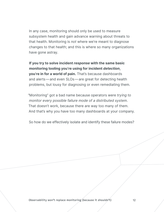In any case, monitoring should only be used to measure subsystem health and gain advance warning about threats to that health. Monitoring is *not* where we're meant to diagnose changes to that health; and this is where so many organizations have gone astray.

**If you try to solve incident** *response* **with the same basic monitoring tooling you're using for incident** *detection***, you're in for a world of pain.** That's because dashboards and alerts—and even SLOs—are great for detecting health problems, but lousy for diagnosing or even remediating them.

"Monitoring" got a bad name because operators were *trying to monitor every possible failure mode of a distributed system*. That doesn't work, because there are way too many of them. And that's why you have too many dashboards at your company.

So how do we effectively isolate and identify these failure modes?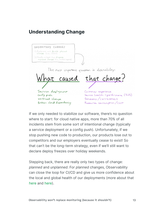#### **Understanding Change**

UNDERSTAND CHANGES 1) Accelerate and de-risk planned<br>changes (e.g., CI/CD) 2) Rapidly mitigate then diagnose unplanned changes (eg., incident response) The most important question in observability: that change? caused Service deployment Customer experience Config push Service health + performance (SLOS) Semantics/correctness Workload change Broken cloud dependency Resource consumption/cost

If we only needed to stabilize our software, there's no question where to start: for cloud native apps, more than 70% of all incidents stem from some sort of intentional change (typically a service deployment or a config push). Unfortunately, if we stop pushing new code to production, our products lose out to competitors and our employers eventually cease to exist! So that can't be the long-term strategy, even if we'll still want to declare deploy freezes over holiday weekends.

Stepping back, there are really only two types of change: *planned* and *unplanned*. For *planned* changes, Observability can close the loop for CI/CD and give us more confidence about the local and global health of our deployments (more about that [here](https://lightstep.com/deployments/) and [here](https://lightstep.com/blog/github-action-predeploy-check/)).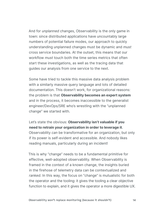And for *unplanned* changes, Observability is the only game in town: since distributed applications have uncountably large numbers of potential failure modes, our approach to quickly understanding unplanned changes must be dynamic and *must* cross service boundaries. At the outset, this means that our workflow *must* touch both the time series metrics that often start these investigations, as well as the tracing data that guides our analysis from one service to the next.

Some have tried to tackle this massive data analysis problem with a similarly massive query language and lots of detailed documentation. This doesn't work, for organizational reasons: the problem is that **Observability becomes an expert system** and in the process, it becomes inaccessible to the generalist engineer/DevOps/SRE who's wrestling with the "unplanned change" we started with.

Let's state the obvious: **Observability isn't valuable if you need to retrain your organization in order to leverage it**. Observability *can* be transformative for an organization, but only if its power is self-evident and accessible. And nobody likes reading manuals, particularly during an incident!

This is why "change" needs to be a fundamental primitive for effective, well-adopted observability. When Observability is framed in the context of a known change, the insights buried in the firehose of telemetry data can be contextualized and *ranked*. In this way, the focus on "change" is mutualistic for both the operator and the tooling: it gives the tooling a clear objective function to explain, and it gives the operator a more digestible UX.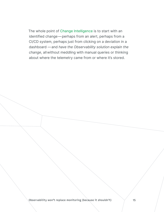The whole point of [Change Intelligence](http://lightstep.com/product#change-intelligence) is to start with an identified change—perhaps from an alert, perhaps from a CI/CD system, perhaps just from clicking on a deviation in a dashboard —and *have the Observability solution explain the change*, allwithout meddling with manual queries or thinking about where the telemetry came from or where it's stored.

Observability won't replace monitoring (because it shouldn't)  $\hskip10mm \qquad \qquad$  15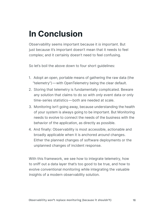### **In Conclusion**

Observability seems important because it *is* important. But just because it's important doesn't mean that it needs to feel complex; and it certainly doesn't need to feel confusing.

So let's boil the above down to four short guidelines:

- 1. Adopt an open, portable means of gathering the raw data (the "telemetry")—with OpenTelemetry being the clear default.
- 2. Storing that telemetry is fundamentally complicated. Beware any solution that claims to do so with *only* event data or only time-series statistics—both are needed at scale.
- 3. Monitoring isn't going away, because understanding the health of your system is always going to be important. But Monitoring needs to evolve to connect the needs of the business with the behavior of the application, as directly as possible.
- 4. And finally: Observability is most accessible, actionable and broadly applicable when it is anchored *around* changes. Either the planned changes of software deployments or the unplanned changes of incident response.

With this framework, we see how to integrate telemetry, how to sniff out a data layer that's too good to be true, and how to evolve conventional monitoring while integrating the valuable insights of a modern observability solution.